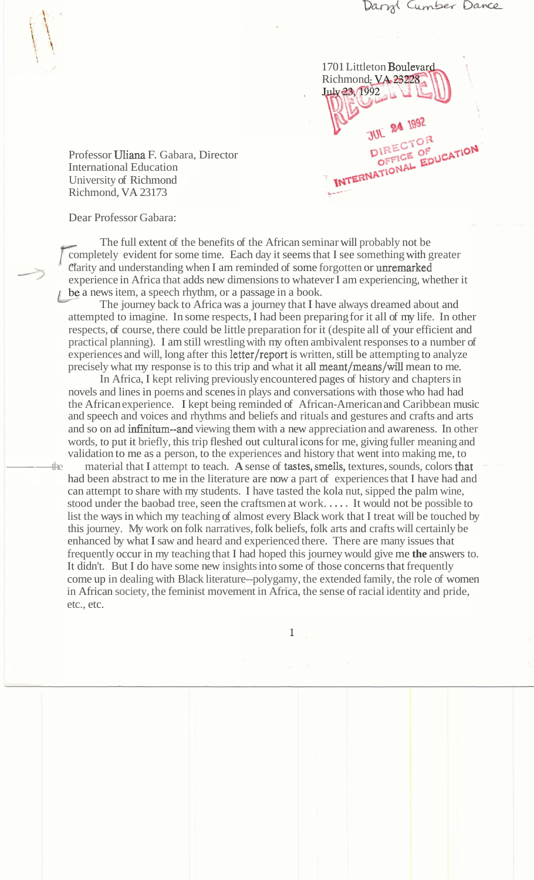1701 Littleton Boulevard Richmond, **VA 23228**<br>**July 23, 1992** JUL 24 1992 **JUL ATOR**<br>**PIRECTOR** DIRECTOR<br>OFFICE OF DUCATION

Professor Uliana F. Gabara, Director International Education University of Richmond Richmond, VA 23173

Dear Professor Gabara:

The full extent of the benefits of the African seminar will probably not be completely evident for some time. Each day it seems that I see something with greater clarity and understanding when I am reminded of some forgotten or unremarked experience in Africa that adds new dimensions to whatever I am experiencing, whether it be a news item, a speech rhythm, or a passage in a book.

The journey back to Africa was a journey that I have always dreamed about and attempted to imagine. In some respects, I had been preparing for it all of my life. In other respects, of course, there could be little preparation for it (despite all of your efficient and practical planning). I am still wrestling with my often ambivalent responses to a number of experiences and will, long after this letter/report is written, still be attempting to analyze precisely what my response is to this trip and what it all meant/means/will mean to me.

In Africa, I kept reliving previously encountered pages of history and chapters in novels and lines in poems and scenes in plays and conversations with those who had had the African experience. I kept being reminded of African-American and Caribbean music and speech and voices and rhythms and beliefs and rituals and gestures and crafts and arts and so on ad infinitum--and viewing them with a new appreciation and awareness. In other words, to put it briefly, this trip fleshed out cultural icons for me, giving fuller meaning and validation to me as a person, to the experiences and history that went into making me, to novels and lines in poems and scenes in plays and conversations with those who had had<br>the African experience. I kept being reminded of African-American and Caribbean musis<br>and speech and voices and rhythms and beliefs and

had been abstract to me in the literature are now a part of experiences that I have had and can attempt to share with my students. I have tasted the kola nut, sipped the palm wine, stood under the baobad tree, seen the craftsmen at work. . . . . It would not be possible to list the ways in which my teaching of almost every Black work that I treat will be touched by this journey. My work on folk narratives, folk beliefs, folk arts and crafts will certainly be enhanced by what I saw and heard and experienced there. There are many issues that frequently occur in my teaching that I had hoped this journey would give me **the** answers to. It didn't. But I do have some new insights into some of those concerns that frequently come up in dealing with Black literature--polygamy, the extended family, the role of women in African society, the feminist movement in Africa, the sense of racial identity and pride, etc., etc.

1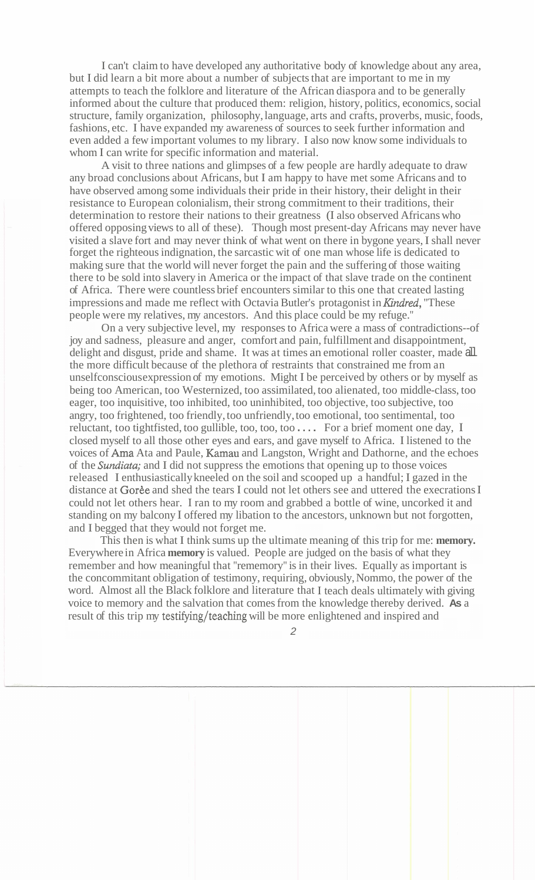I can't claim to have developed any authoritative body of knowledge about any area, but I did learn a bit more about a number of subjects that are important to me in my attempts to teach the folklore and literature of the African diaspora and to be generally informed about the culture that produced them: religion, history, politics, economics, social structure, family organization, philosophy, language, arts and crafts, proverbs, music, foods, fashions, etc. I have expanded my awareness of sources to seek further information and even added a few important volumes to my library. I also now know some individuals to whom I can write for specific information and material.

A visit to three nations and glimpses of a few people are hardly adequate to draw any broad conclusions about Africans, but I am happy to have met some Africans and to have observed among some individuals their pride in their history, their delight in their resistance to European colonialism, their strong commitment to their traditions, their determination to restore their nations to their greatness (I also observed Africans who offered opposing views to all of these). Though most present-day Africans may never have visited a slave fort and may never think of what went on there in bygone years, I shall never forget the righteous indignation, the sarcastic wit of one man whose life is dedicated to making sure that the world will never forget the pain and the suffering of those waiting there to be sold into slavery in America or the impact of that slave trade on the continent of Africa. There were countless brief encounters similar to this one that created lasting impressions and made me reflect with Octavia Butler's protagonist in *Kindred*, "These people were my relatives, my ancestors. And this place could be my refuge."

On a very subjective level, my responses to Africa were a mass of contradictions--of joy and sadness, pleasure and anger, comfort and pain, fulfillment and disappointment, delight and disgust, pride and shame. It was at times an emotional roller coaster, made all the more difficult because of the plethora of restraints that constrained me from an unselfconscious expression of my emotions. Might I be perceived by others or by myself as being too American, too Westernized, too assimilated, too alienated, too middle-class, too eager, too inquisitive, too inhibited, too uninhibited, too objective, too subjective, too angry, too frightened, too friendly, too unfriendly, too emotional, too sentimental, too reluctant, too tightfisted, too gullible, too, too, too . . . . For a brief moment one day, I closed myself to all those other eyes and ears, and gave myself to Africa. I listened to the voices of Arna Ata and Paule, Kamau and Langston, Wright and Dathorne, and the echoes of the Sundiata; and I did not suppress the emotions that opening up to those voices released I enthusiastically kneeled on the soil and scooped up a handful; I gazed in the distance at Goree and shed the tears I could not let others see and uttered the execrations I could not let others hear. I ran to my room and grabbed a bottle of wine, uncorked it and standing on my balcony I offered my libation to the ancestors, unknown but not forgotten, and I begged that they would not forget me.

This then is what I think sums up the ultimate meaning of this trip for me: **memory.**  Everywhere in Africa **memory** is valued. People are judged on the basis of what they remember and how meaningful that "rememory" is in their lives. Equally as important is the concommitant obligation of testimony, requiring, obviously, Nommo, the power of the word. Almost all the Black folklore and literature that I teach deals ultimately with giving voice to memory and the salvation that comes from the knowledge thereby derived. **As** a result of this trip my testifying/teaching will be more enlightened and inspired and

 $\mathfrak{D}$